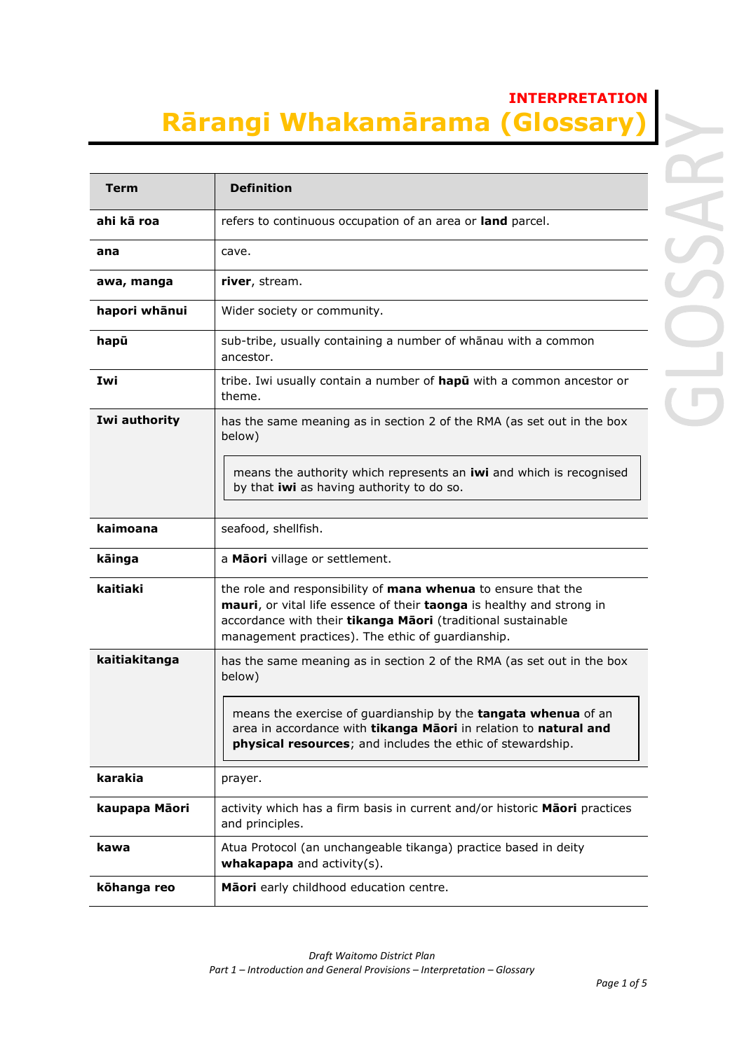## **INTERPRETATION Rārangi Whakamārama (Glossary)**

| <b>Term</b>   | <b>Definition</b>                                                                                                                                                                                                                                           |
|---------------|-------------------------------------------------------------------------------------------------------------------------------------------------------------------------------------------------------------------------------------------------------------|
| ahi kā roa    | refers to continuous occupation of an area or land parcel.                                                                                                                                                                                                  |
| ana           | cave.                                                                                                                                                                                                                                                       |
| awa, manga    | river, stream.                                                                                                                                                                                                                                              |
| hapori whānui | Wider society or community.                                                                                                                                                                                                                                 |
| hapū          | sub-tribe, usually containing a number of whanau with a common<br>ancestor.                                                                                                                                                                                 |
| Iwi           | tribe. Iwi usually contain a number of hapu with a common ancestor or<br>theme.                                                                                                                                                                             |
| Iwi authority | has the same meaning as in section 2 of the RMA (as set out in the box<br>below)                                                                                                                                                                            |
|               | means the authority which represents an iwi and which is recognised<br>by that iwi as having authority to do so.                                                                                                                                            |
| kaimoana      | seafood, shellfish.                                                                                                                                                                                                                                         |
| kāinga        | a Maori village or settlement.                                                                                                                                                                                                                              |
| kaitiaki      | the role and responsibility of mana whenua to ensure that the<br>mauri, or vital life essence of their taonga is healthy and strong in<br>accordance with their tikanga Maori (traditional sustainable<br>management practices). The ethic of guardianship. |
| kaitiakitanga | has the same meaning as in section 2 of the RMA (as set out in the box<br>below)                                                                                                                                                                            |
|               | means the exercise of guardianship by the tangata whenua of an<br>area in accordance with <b>tikanga Māori</b> in relation to <b>natural and</b><br>physical resources; and includes the ethic of stewardship.                                              |
| karakia       | prayer.                                                                                                                                                                                                                                                     |
| kaupapa Māori | activity which has a firm basis in current and/or historic Maori practices<br>and principles.                                                                                                                                                               |
| kawa          | Atua Protocol (an unchangeable tikanga) practice based in deity<br>whakapapa and $activity(s)$ .                                                                                                                                                            |
| kōhanga reo   | Māori early childhood education centre.                                                                                                                                                                                                                     |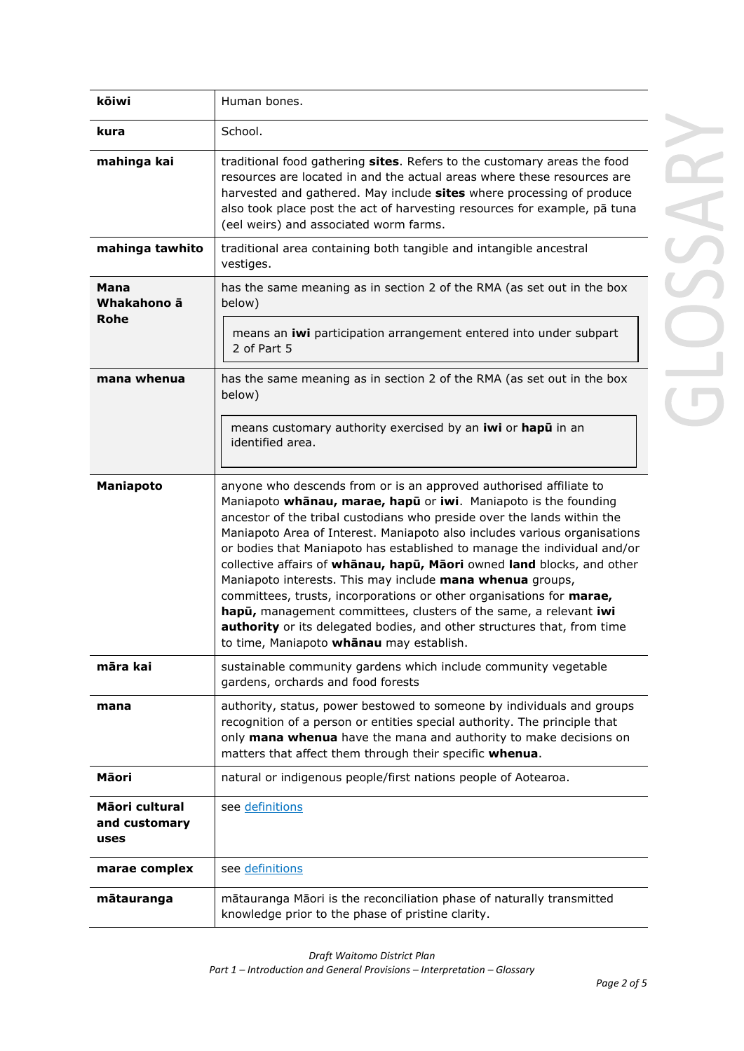| kōiwi                                   | Human bones.                                                                                                                                                                                                                                                                                                                                                                                                                                                                                                                                                                                                                                                                                                                                                                         |  |
|-----------------------------------------|--------------------------------------------------------------------------------------------------------------------------------------------------------------------------------------------------------------------------------------------------------------------------------------------------------------------------------------------------------------------------------------------------------------------------------------------------------------------------------------------------------------------------------------------------------------------------------------------------------------------------------------------------------------------------------------------------------------------------------------------------------------------------------------|--|
| kura                                    | School.                                                                                                                                                                                                                                                                                                                                                                                                                                                                                                                                                                                                                                                                                                                                                                              |  |
| mahinga kai                             | traditional food gathering sites. Refers to the customary areas the food<br>resources are located in and the actual areas where these resources are<br>harvested and gathered. May include sites where processing of produce<br>also took place post the act of harvesting resources for example, pā tuna<br>(eel weirs) and associated worm farms.                                                                                                                                                                                                                                                                                                                                                                                                                                  |  |
| mahinga tawhito                         | traditional area containing both tangible and intangible ancestral<br>vestiges.                                                                                                                                                                                                                                                                                                                                                                                                                                                                                                                                                                                                                                                                                                      |  |
| Mana<br>Whakahono ā<br><b>Rohe</b>      | has the same meaning as in section 2 of the RMA (as set out in the box<br>below)<br>means an iwi participation arrangement entered into under subpart<br>2 of Part 5                                                                                                                                                                                                                                                                                                                                                                                                                                                                                                                                                                                                                 |  |
| mana whenua                             | has the same meaning as in section 2 of the RMA (as set out in the box<br>below)                                                                                                                                                                                                                                                                                                                                                                                                                                                                                                                                                                                                                                                                                                     |  |
|                                         | means customary authority exercised by an iwi or hapu in an<br>identified area.                                                                                                                                                                                                                                                                                                                                                                                                                                                                                                                                                                                                                                                                                                      |  |
| Maniapoto                               | anyone who descends from or is an approved authorised affiliate to<br>Maniapoto whanau, marae, hapu or iwi. Maniapoto is the founding<br>ancestor of the tribal custodians who preside over the lands within the<br>Maniapoto Area of Interest. Maniapoto also includes various organisations<br>or bodies that Maniapoto has established to manage the individual and/or<br>collective affairs of whanau, hapu, Maori owned land blocks, and other<br>Maniapoto interests. This may include mana whenua groups,<br>committees, trusts, incorporations or other organisations for marae,<br>hapu, management committees, clusters of the same, a relevant iwi<br>authority or its delegated bodies, and other structures that, from time<br>to time, Maniapoto whanau may establish. |  |
| māra kai                                | sustainable community gardens which include community vegetable<br>gardens, orchards and food forests                                                                                                                                                                                                                                                                                                                                                                                                                                                                                                                                                                                                                                                                                |  |
| mana                                    | authority, status, power bestowed to someone by individuals and groups<br>recognition of a person or entities special authority. The principle that<br>only mana whenua have the mana and authority to make decisions on<br>matters that affect them through their specific whenua.                                                                                                                                                                                                                                                                                                                                                                                                                                                                                                  |  |
| Māori                                   | natural or indigenous people/first nations people of Aotearoa.                                                                                                                                                                                                                                                                                                                                                                                                                                                                                                                                                                                                                                                                                                                       |  |
| Māori cultural<br>and customary<br>uses | see definitions                                                                                                                                                                                                                                                                                                                                                                                                                                                                                                                                                                                                                                                                                                                                                                      |  |
| marae complex                           | see definitions                                                                                                                                                                                                                                                                                                                                                                                                                                                                                                                                                                                                                                                                                                                                                                      |  |
| mātauranga                              | mātauranga Māori is the reconciliation phase of naturally transmitted<br>knowledge prior to the phase of pristine clarity.                                                                                                                                                                                                                                                                                                                                                                                                                                                                                                                                                                                                                                                           |  |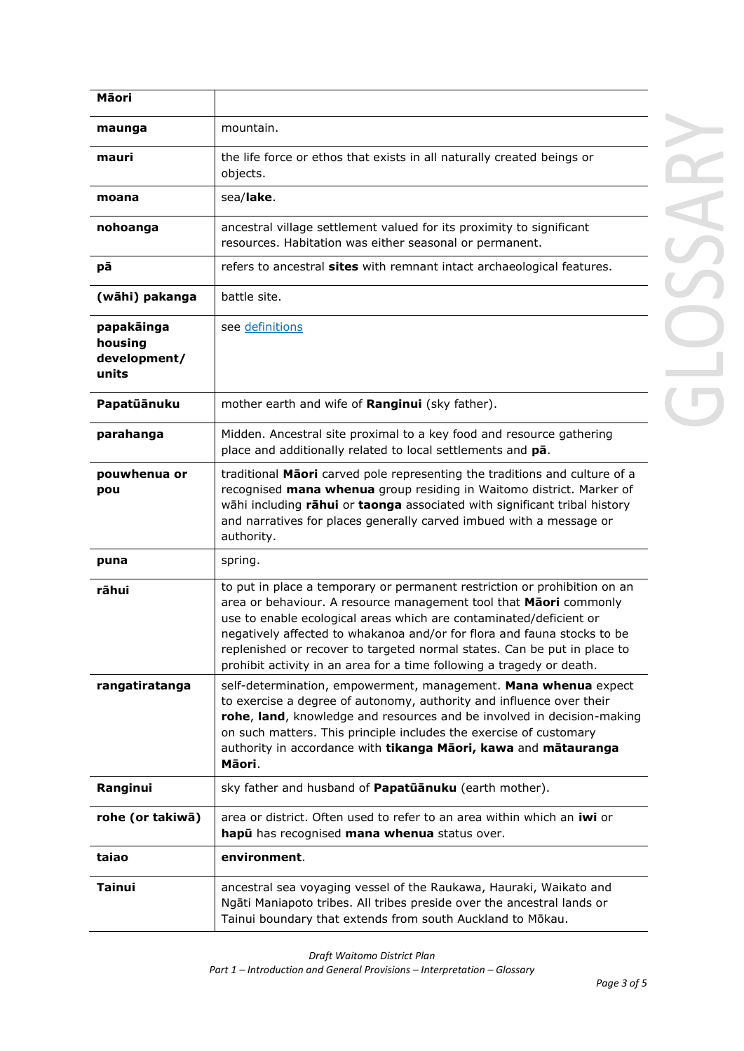| Māori                                          |                                                                                                                                                                                                                                                                                                                                                                                                                                                      |  |
|------------------------------------------------|------------------------------------------------------------------------------------------------------------------------------------------------------------------------------------------------------------------------------------------------------------------------------------------------------------------------------------------------------------------------------------------------------------------------------------------------------|--|
| maunga                                         | mountain.                                                                                                                                                                                                                                                                                                                                                                                                                                            |  |
| mauri                                          | the life force or ethos that exists in all naturally created beings or<br>objects.                                                                                                                                                                                                                                                                                                                                                                   |  |
| moana                                          | sea/lake.                                                                                                                                                                                                                                                                                                                                                                                                                                            |  |
| nohoanga                                       | ancestral village settlement valued for its proximity to significant<br>resources. Habitation was either seasonal or permanent.                                                                                                                                                                                                                                                                                                                      |  |
| рā                                             | refers to ancestral sites with remnant intact archaeological features.                                                                                                                                                                                                                                                                                                                                                                               |  |
| (wāhi) pakanga                                 | battle site.                                                                                                                                                                                                                                                                                                                                                                                                                                         |  |
| papakāinga<br>housing<br>development/<br>units | see definitions                                                                                                                                                                                                                                                                                                                                                                                                                                      |  |
| Papatūānuku                                    | mother earth and wife of Ranginui (sky father).                                                                                                                                                                                                                                                                                                                                                                                                      |  |
| parahanga                                      | Midden. Ancestral site proximal to a key food and resource gathering<br>place and additionally related to local settlements and pa.                                                                                                                                                                                                                                                                                                                  |  |
| pouwhenua or<br>pou                            | traditional Maori carved pole representing the traditions and culture of a<br>recognised mana whenua group residing in Waitomo district. Marker of<br>wāhi including rāhui or taonga associated with significant tribal history<br>and narratives for places generally carved imbued with a message or<br>authority.                                                                                                                                 |  |
| puna                                           | spring.                                                                                                                                                                                                                                                                                                                                                                                                                                              |  |
| rāhui                                          | to put in place a temporary or permanent restriction or prohibition on an<br>area or behaviour. A resource management tool that Maori commonly<br>use to enable ecological areas which are contaminated/deficient or<br>negatively affected to whakanoa and/or for flora and fauna stocks to be<br>replenished or recover to targeted normal states. Can be put in place to<br>prohibit activity in an area for a time following a tragedy or death. |  |
| rangatiratanga                                 | self-determination, empowerment, management. Mana whenua expect<br>to exercise a degree of autonomy, authority and influence over their<br>rohe, land, knowledge and resources and be involved in decision-making<br>on such matters. This principle includes the exercise of customary<br>authority in accordance with tikanga Maori, kawa and matauranga<br>Māori.                                                                                 |  |
| Ranginui                                       | sky father and husband of Papatuanuku (earth mother).                                                                                                                                                                                                                                                                                                                                                                                                |  |
| rohe (or takiwā)                               | area or district. Often used to refer to an area within which an iwi or<br>hapu has recognised mana whenua status over.                                                                                                                                                                                                                                                                                                                              |  |
| taiao                                          | environment.                                                                                                                                                                                                                                                                                                                                                                                                                                         |  |
| Tainui                                         | ancestral sea voyaging vessel of the Raukawa, Hauraki, Waikato and<br>Ngāti Maniapoto tribes. All tribes preside over the ancestral lands or<br>Tainui boundary that extends from south Auckland to Mōkau.                                                                                                                                                                                                                                           |  |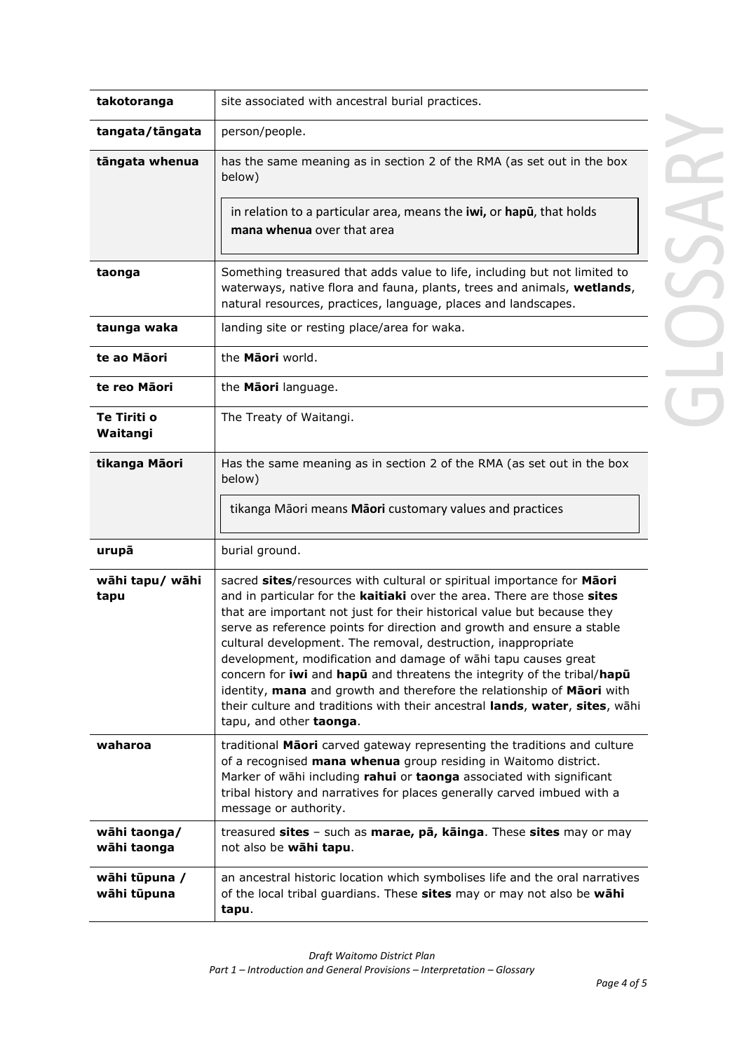| takotoranga                  | site associated with ancestral burial practices.                                                                                                                                                                                                                                                                                                                                                                                                                                                                                                                                                                                                                                                         |  |
|------------------------------|----------------------------------------------------------------------------------------------------------------------------------------------------------------------------------------------------------------------------------------------------------------------------------------------------------------------------------------------------------------------------------------------------------------------------------------------------------------------------------------------------------------------------------------------------------------------------------------------------------------------------------------------------------------------------------------------------------|--|
| tangata/tāngata              | person/people.                                                                                                                                                                                                                                                                                                                                                                                                                                                                                                                                                                                                                                                                                           |  |
| tāngata whenua               | has the same meaning as in section 2 of the RMA (as set out in the box<br>below)                                                                                                                                                                                                                                                                                                                                                                                                                                                                                                                                                                                                                         |  |
|                              | in relation to a particular area, means the iwi, or hapu, that holds<br>mana whenua over that area                                                                                                                                                                                                                                                                                                                                                                                                                                                                                                                                                                                                       |  |
| taonga                       | Something treasured that adds value to life, including but not limited to<br>waterways, native flora and fauna, plants, trees and animals, wetlands,<br>natural resources, practices, language, places and landscapes.                                                                                                                                                                                                                                                                                                                                                                                                                                                                                   |  |
| taunga waka                  | landing site or resting place/area for waka.                                                                                                                                                                                                                                                                                                                                                                                                                                                                                                                                                                                                                                                             |  |
| te ao Māori                  | the Maori world.                                                                                                                                                                                                                                                                                                                                                                                                                                                                                                                                                                                                                                                                                         |  |
| te reo Māori                 | the Maori language.                                                                                                                                                                                                                                                                                                                                                                                                                                                                                                                                                                                                                                                                                      |  |
| Te Tiriti o<br>Waitangi      | The Treaty of Waitangi.                                                                                                                                                                                                                                                                                                                                                                                                                                                                                                                                                                                                                                                                                  |  |
| tikanga Māori                | Has the same meaning as in section 2 of the RMA (as set out in the box<br>below)                                                                                                                                                                                                                                                                                                                                                                                                                                                                                                                                                                                                                         |  |
|                              | tikanga Māori means Māori customary values and practices                                                                                                                                                                                                                                                                                                                                                                                                                                                                                                                                                                                                                                                 |  |
| urupā                        | burial ground.                                                                                                                                                                                                                                                                                                                                                                                                                                                                                                                                                                                                                                                                                           |  |
| wāhi tapu/ wāhi<br>tapu      | sacred sites/resources with cultural or spiritual importance for Maori<br>and in particular for the kaitiaki over the area. There are those sites<br>that are important not just for their historical value but because they<br>serve as reference points for direction and growth and ensure a stable<br>cultural development. The removal, destruction, inappropriate<br>development, modification and damage of wāhi tapu causes great<br>concern for iwi and hapu and threatens the integrity of the tribal/hapu<br>identity, mana and growth and therefore the relationship of Maori with<br>their culture and traditions with their ancestral lands, water, sites, wāhi<br>tapu, and other taonga. |  |
| waharoa                      | traditional Maori carved gateway representing the traditions and culture<br>of a recognised mana whenua group residing in Waitomo district.<br>Marker of wāhi including rahui or taonga associated with significant<br>tribal history and narratives for places generally carved imbued with a<br>message or authority.                                                                                                                                                                                                                                                                                                                                                                                  |  |
| wāhi taonga/<br>wāhi taonga  | treasured sites - such as marae, pā, kāinga. These sites may or may<br>not also be wāhi tapu.                                                                                                                                                                                                                                                                                                                                                                                                                                                                                                                                                                                                            |  |
| wāhi tūpuna /<br>wāhi tūpuna | an ancestral historic location which symbolises life and the oral narratives<br>of the local tribal guardians. These sites may or may not also be wahi<br>tapu.                                                                                                                                                                                                                                                                                                                                                                                                                                                                                                                                          |  |